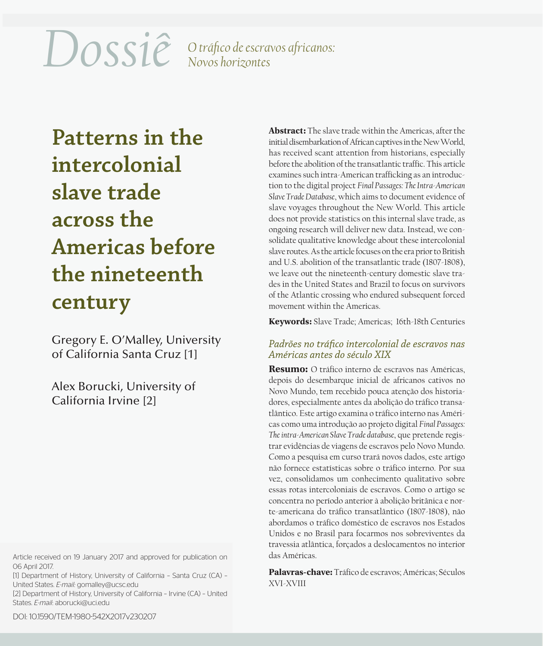# *Dossiê O tráfico de escravos africanos: Novos horizontes*

**Patterns in the intercolonial slave trade across the Americas before the nineteenth century**

Gregory E. O'Malley, University of California Santa Cruz [1]

Alex Borucki, University of California Irvine [2]

Article received on 19 January 2017 and approved for publication on 06 April 2017.

[1] Department of History, University of California – Santa Cruz (CA) – United States. *E-mail:* gomalley@ucsc.edu

[2] Department of History, University of California – Irvine (CA) – United States. *E-mail*: aborucki@uci.edu

**Abstract:** The slave trade within the Americas, after the initial disembarkation of African captives in the New World, has received scant attention from historians, especially before the abolition of the transatlantic traffic. This article examines such intra-American trafficking as an introduction to the digital project *Final Passages: The Intra-American Slave Trade Database*, which aims to document evidence of slave voyages throughout the New World. This article does not provide statistics on this internal slave trade, as ongoing research will deliver new data. Instead, we consolidate qualitative knowledge about these intercolonial slave routes. As the article focuses on the era prior to British and U.S. abolition of the transatlantic trade (1807-1808), we leave out the nineteenth-century domestic slave trades in the United States and Brazil to focus on survivors of the Atlantic crossing who endured subsequent forced movement within the Americas.

**Keywords:** Slave Trade; Americas; 16th-18th Centuries

#### *Padrões no tráfico intercolonial de escravos nas Américas antes do século XIX*

**Resumo:** O tráfico interno de escravos nas Américas, depois do desembarque inicial de africanos cativos no Novo Mundo, tem recebido pouca atenção dos historiadores, especialmente antes da abolição do tráfico transatlântico. Este artigo examina o tráfico interno nas Américas como uma introdução ao projeto digital *Final Passages: The intra-American Slave Trade database*, que pretende registrar evidências de viagens de escravos pelo Novo Mundo. Como a pesquisa em curso trará novos dados, este artigo não fornece estatísticas sobre o tráfico interno. Por sua vez, consolidamos um conhecimento qualitativo sobre essas rotas intercoloniais de escravos. Como o artigo se concentra no período anterior à abolição britânica e norte-americana do tráfico transatlântico (1807-1808), não abordamos o tráfico doméstico de escravos nos Estados Unidos e no Brasil para focarmos nos sobreviventes da travessia atlântica, forçados a deslocamentos no interior das Américas.

**Palavras-chave:** Tráfico de escravos; Américas; Séculos XVI-XVIII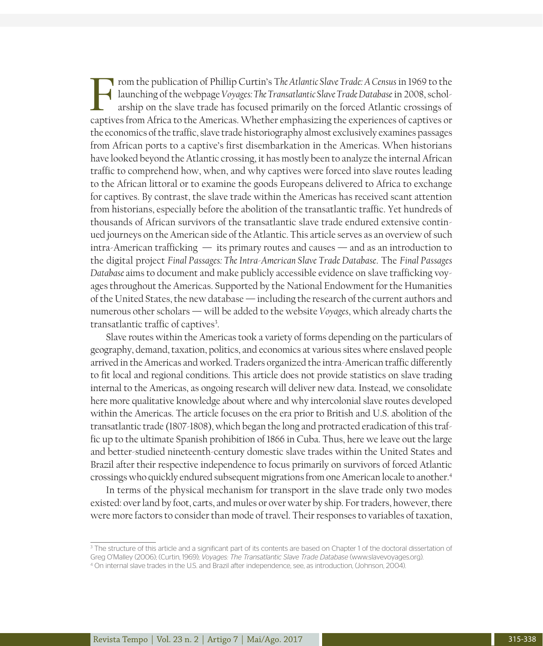From the publication of Phillip Curtin's T*he Atlantic Slave Trade: A Census* in 1969 to the launching of the webpage *Voyages: The Transatlantic Slave Trade Database* in 2008, scholarship on the slave trade has focused pr launching of the webpage *Voyages: The Transatlantic Slave Trade Database* in 2008, scholarship on the slave trade has focused primarily on the forced Atlantic crossings of captives from Africa to the Americas. Whether emphasizing the experiences of captives or the economics of the traffic, slave trade historiography almost exclusively examines passages from African ports to a captive's first disembarkation in the Americas. When historians have looked beyond the Atlantic crossing, it has mostly been to analyze the internal African traffic to comprehend how, when, and why captives were forced into slave routes leading to the African littoral or to examine the goods Europeans delivered to Africa to exchange for captives. By contrast, the slave trade within the Americas has received scant attention from historians, especially before the abolition of the transatlantic traffic. Yet hundreds of thousands of African survivors of the transatlantic slave trade endured extensive continued journeys on the American side of the Atlantic. This article serves as an overview of such intra-American trafficking — its primary routes and causes — and as an introduction to the digital project *Final Passages: The Intra-American Slave Trade Database*. The *Final Passages Database* aims to document and make publicly accessible evidence on slave trafficking voyages throughout the Americas. Supported by the National Endowment for the Humanities of the United States, the new database — including the research of the current authors and numerous other scholars — will be added to the website *Voyages*, which already charts the transatlantic traffic of captives<sup>3</sup>.

Slave routes within the Americas took a variety of forms depending on the particulars of geography, demand, taxation, politics, and economics at various sites where enslaved people arrived in the Americas and worked. Traders organized the intra-American traffic differently to fit local and regional conditions. This article does not provide statistics on slave trading internal to the Americas, as ongoing research will deliver new data. Instead, we consolidate here more qualitative knowledge about where and why intercolonial slave routes developed within the Americas. The article focuses on the era prior to British and U.S. abolition of the transatlantic trade (1807-1808), which began the long and protracted eradication of this traffic up to the ultimate Spanish prohibition of 1866 in Cuba. Thus, here we leave out the large and better-studied nineteenth-century domestic slave trades within the United States and Brazil after their respective independence to focus primarily on survivors of forced Atlantic crossings who quickly endured subsequent migrations from one American locale to another.<sup>4</sup>

In terms of the physical mechanism for transport in the slave trade only two modes existed: over land by foot, carts, and mules or over water by ship. For traders, however, there were more factors to consider than mode of travel. Their responses to variables of taxation,

<sup>&</sup>lt;sup>3</sup> The structure of this article and a significant part of its contents are based on Chapter 1 of the doctoral dissertation of Greg O'Malley (2006); (Curtin, 1969); *Voyages: The Transatlantic Slave Trade Database* (www.slavevoyages.org).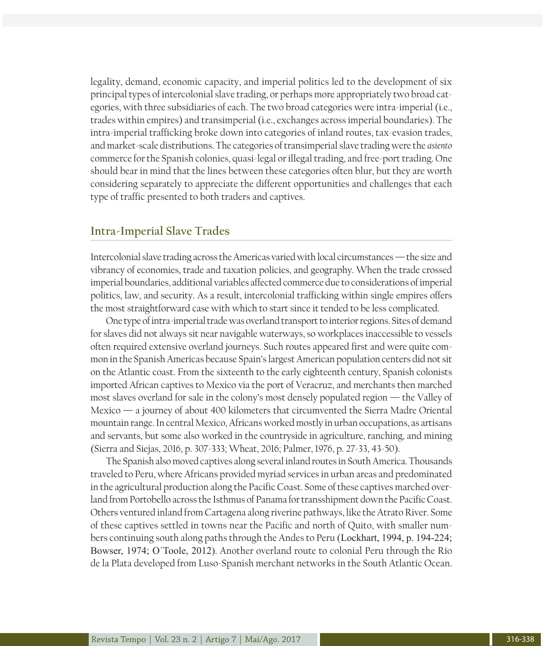legality, demand, economic capacity, and imperial politics led to the development of six principal types of intercolonial slave trading, or perhaps more appropriately two broad categories, with three subsidiaries of each. The two broad categories were intra-imperial (i.e., trades within empires) and transimperial (i.e., exchanges across imperial boundaries). The intra-imperial trafficking broke down into categories of inland routes, tax-evasion trades, and market-scale distributions. The categories of transimperial slave trading were the *asiento* commerce for the Spanish colonies, quasi-legal or illegal trading, and free-port trading. One should bear in mind that the lines between these categories often blur, but they are worth considering separately to appreciate the different opportunities and challenges that each type of traffic presented to both traders and captives.

#### **Intra-Imperial Slave Trades**

Intercolonial slave trading across the Americas varied with local circumstances — the size and vibrancy of economies, trade and taxation policies, and geography. When the trade crossed imperial boundaries, additional variables affected commerce due to considerations of imperial politics, law, and security. As a result, intercolonial trafficking within single empires offers the most straightforward case with which to start since it tended to be less complicated.

One type of intra-imperial trade was overland transport to interior regions. Sites of demand for slaves did not always sit near navigable waterways, so workplaces inaccessible to vessels often required extensive overland journeys. Such routes appeared first and were quite common in the Spanish Americas because Spain's largest American population centers did not sit on the Atlantic coast. From the sixteenth to the early eighteenth century, Spanish colonists imported African captives to Mexico via the port of Veracruz, and merchants then marched most slaves overland for sale in the colony's most densely populated region — the Valley of Mexico — a journey of about 400 kilometers that circumvented the Sierra Madre Oriental mountain range. In central Mexico, Africans worked mostly in urban occupations, as artisans and servants, but some also worked in the countryside in agriculture, ranching, and mining (Sierra and Siejas, 2016, p. 307-333; Wheat, 2016; Palmer, 1976, p. 27-33, 43-50).

The Spanish also moved captives along several inland routes in South America. Thousands traveled to Peru, where Africans provided myriad services in urban areas and predominated in the agricultural production along the Pacific Coast. Some of these captives marched overland from Portobello across the Isthmus of Panama for transshipment down the Pacific Coast. Others ventured inland from Cartagena along riverine pathways, like the Atrato River. Some of these captives settled in towns near the Pacific and north of Quito, with smaller numbers continuing south along paths through the Andes to Peru (Lockhart, 1994, p. 194-224; Bowser, 1974; O´Toole, 2012). Another overland route to colonial Peru through the Río de la Plata developed from Luso-Spanish merchant networks in the South Atlantic Ocean.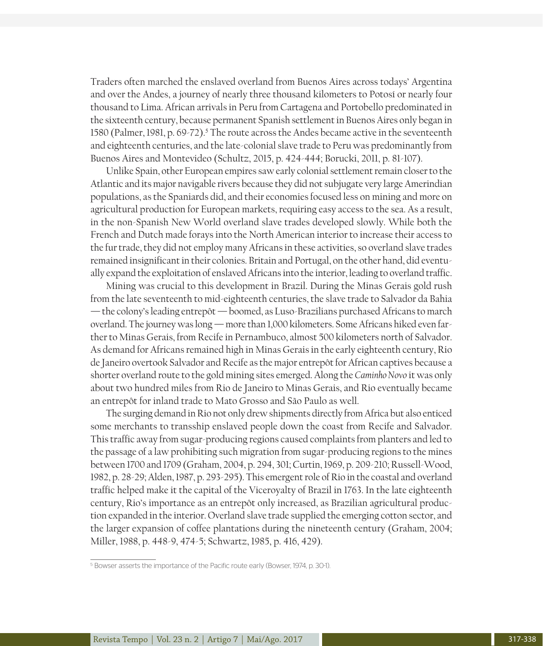Traders often marched the enslaved overland from Buenos Aires across todays' Argentina and over the Andes, a journey of nearly three thousand kilometers to Potosí or nearly four thousand to Lima. African arrivals in Peru from Cartagena and Portobello predominated in the sixteenth century, because permanent Spanish settlement in Buenos Aires only began in 1580 (Palmer, 1981, p. 69-72).<sup>5</sup> The route across the Andes became active in the seventeenth and eighteenth centuries, and the late-colonial slave trade to Peru was predominantly from Buenos Aires and Montevideo (Schultz, 2015, p. 424-444; Borucki, 2011, p. 81-107).

Unlike Spain, other European empires saw early colonial settlement remain closer to the Atlantic and its major navigable rivers because they did not subjugate very large Amerindian populations, as the Spaniards did, and their economies focused less on mining and more on agricultural production for European markets, requiring easy access to the sea. As a result, in the non-Spanish New World overland slave trades developed slowly. While both the French and Dutch made forays into the North American interior to increase their access to the fur trade, they did not employ many Africans in these activities, so overland slave trades remained insignificant in their colonies. Britain and Portugal, on the other hand, did eventually expand the exploitation of enslaved Africans into the interior, leading to overland traffic.

Mining was crucial to this development in Brazil. During the Minas Gerais gold rush from the late seventeenth to mid-eighteenth centuries, the slave trade to Salvador da Bahia — the colony's leading entrepôt — boomed, as Luso-Brazilians purchased Africans to march overland. The journey was long — more than 1,000 kilometers. Some Africans hiked even farther to Minas Gerais, from Recife in Pernambuco, almost 500 kilometers north of Salvador. As demand for Africans remained high in Minas Gerais in the early eighteenth century, Rio de Janeiro overtook Salvador and Recife as the major entrepôt for African captives because a shorter overland route to the gold mining sites emerged. Along the *Caminho Novo* it was only about two hundred miles from Rio de Janeiro to Minas Gerais, and Rio eventually became an entrepôt for inland trade to Mato Grosso and São Paulo as well.

The surging demand in Rio not only drew shipments directly from Africa but also enticed some merchants to transship enslaved people down the coast from Recife and Salvador. This traffic away from sugar-producing regions caused complaints from planters and led to the passage of a law prohibiting such migration from sugar-producing regions to the mines between 1700 and 1709 (Graham, 2004, p. 294, 301; Curtin, 1969, p. 209-210; Russell-Wood, 1982, p. 28-29; Alden, 1987, p. 293-295). This emergent role of Rio in the coastal and overland traffic helped make it the capital of the Viceroyalty of Brazil in 1763. In the late eighteenth century, Rio's importance as an entrepôt only increased, as Brazilian agricultural production expanded in the interior. Overland slave trade supplied the emerging cotton sector, and the larger expansion of coffee plantations during the nineteenth century (Graham, 2004; Miller, 1988, p. 448-9, 474-5; Schwartz, 1985, p. 416, 429).

<sup>&</sup>lt;sup>5</sup> Bowser asserts the importance of the Pacific route early (Bowser, 1974, p. 30-1).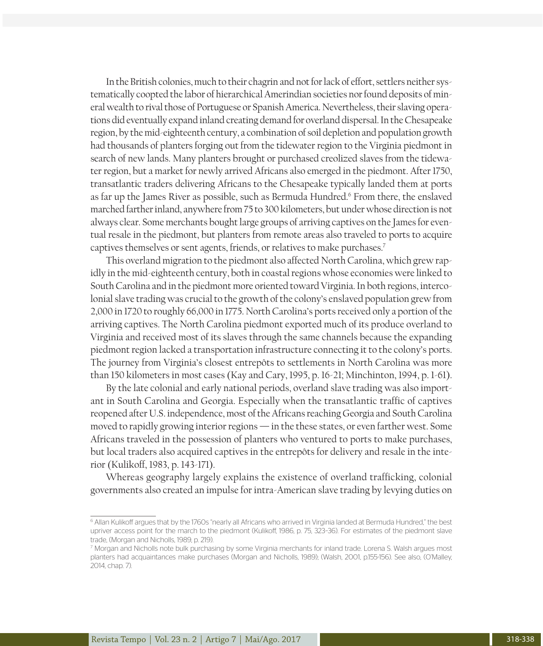In the British colonies, much to their chagrin and not for lack of effort, settlers neither systematically coopted the labor of hierarchical Amerindian societies nor found deposits of mineral wealth to rival those of Portuguese or Spanish America. Nevertheless, their slaving operations did eventually expand inland creating demand for overland dispersal. In the Chesapeake region, by the mid-eighteenth century, a combination of soil depletion and population growth had thousands of planters forging out from the tidewater region to the Virginia piedmont in search of new lands. Many planters brought or purchased creolized slaves from the tidewater region, but a market for newly arrived Africans also emerged in the piedmont. After 1750, transatlantic traders delivering Africans to the Chesapeake typically landed them at ports as far up the James River as possible, such as Bermuda Hundred.<sup>6</sup> From there, the enslaved marched farther inland, anywhere from 75 to 300 kilometers, but under whose direction is not always clear. Some merchants bought large groups of arriving captives on the James for eventual resale in the piedmont, but planters from remote areas also traveled to ports to acquire captives themselves or sent agents, friends, or relatives to make purchases.7

This overland migration to the piedmont also affected North Carolina, which grew rapidly in the mid-eighteenth century, both in coastal regions whose economies were linked to South Carolina and in the piedmont more oriented toward Virginia. In both regions, intercolonial slave trading was crucial to the growth of the colony's enslaved population grew from 2,000 in 1720 to roughly 66,000 in 1775. North Carolina's ports received only a portion of the arriving captives. The North Carolina piedmont exported much of its produce overland to Virginia and received most of its slaves through the same channels because the expanding piedmont region lacked a transportation infrastructure connecting it to the colony's ports. The journey from Virginia's closest entrepôts to settlements in North Carolina was more than 150 kilometers in most cases (Kay and Cary, 1995, p. 16-21; Minchinton, 1994, p. 1-61).

By the late colonial and early national periods, overland slave trading was also important in South Carolina and Georgia. Especially when the transatlantic traffic of captives reopened after U.S. independence, most of the Africans reaching Georgia and South Carolina moved to rapidly growing interior regions — in the these states, or even farther west. Some Africans traveled in the possession of planters who ventured to ports to make purchases, but local traders also acquired captives in the entrepôts for delivery and resale in the interior (Kulikoff, 1983, p. 143-171).

Whereas geography largely explains the existence of overland trafficking, colonial governments also created an impulse for intra-American slave trading by levying duties on

<sup>&</sup>lt;sup>6</sup> Allan Kulikoff argues that by the 1760s "nearly all Africans who arrived in Virginia landed at Bermuda Hundred," the best upriver access point for the march to the piedmont (Kulikoff, 1986, p. 75, 323–36). For estimates of the piedmont slave trade, (Morgan and Nicholls, 1989, p. 219).

<sup>7</sup> Morgan and Nicholls note bulk purchasing by some Virginia merchants for inland trade. Lorena S. Walsh argues most planters had acquaintances make purchases (Morgan and Nicholls, 1989); (Walsh, 2001, p.155-156). See also, (O'Malley, 2014, chap. 7).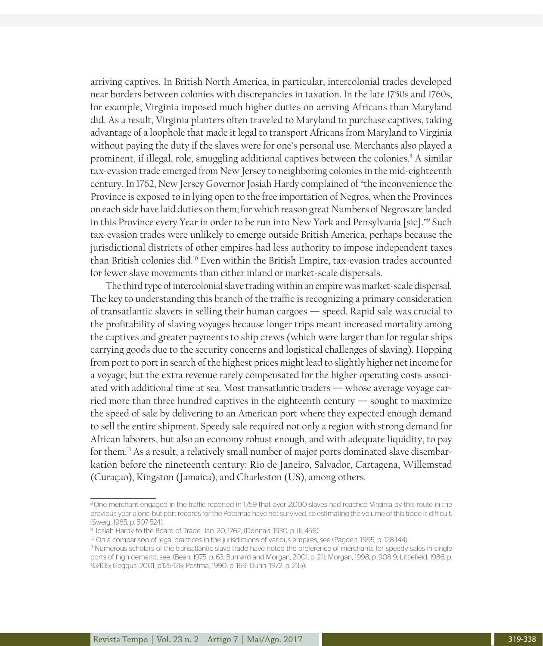arriving captives. In British North America, in particular, intercolonial trades developed near borders between colonies with discrepancies in taxation. In the late 1750s and 1760s, for example, Virginia imposed much higher duties on arriving Africans than Maryland did. As a result, Virginia planters often traveled to Maryland to purchase captives, taking advantage of a loophole that made it legal to transport Africans from Maryland to Virginia without paying the duty if the slaves were for one's personal use. Merchants also played a prominent, if illegal, role, smuggling additional captives between the colonies.<sup>8</sup> A similar tax-evasion trade emerged from New Jersey to neighboring colonies in the mid-eighteenth century. In 1762, New Jersey Governor Josiah Hardy complained of "the inconvenience the Province is exposed to in lying open to the free importation of Negros, when the Provinces on each side have laid duties on them; for which reason great Numbers of Negros are landed in this Province every Year in order to be run into New York and Pensylvania [sic]."9 Such tax-evasion trades were unlikely to emerge outside British America, perhaps because the jurisdictional districts of other empires had less authority to impose independent taxes than British colonies did.10 Even within the British Empire, tax-evasion trades accounted for fewer slave movements than either inland or market-scale dispersals.

The third type of intercolonial slave trading within an empire was market-scale dispersal. The key to understanding this branch of the traffic is recognizing a primary consideration of transatlantic slavers in selling their human cargoes — speed. Rapid sale was crucial to the profitability of slaving voyages because longer trips meant increased mortality among the captives and greater payments to ship crews (which were larger than for regular ships carrying goods due to the security concerns and logistical challenges of slaving). Hopping from port to port in search of the highest prices might lead to slightly higher net income for a voyage, but the extra revenue rarely compensated for the higher operating costs associated with additional time at sea. Most transatlantic traders — whose average voyage carried more than three hundred captives in the eighteenth century — sought to maximize the speed of sale by delivering to an American port where they expected enough demand to sell the entire shipment. Speedy sale required not only a region with strong demand for African laborers, but also an economy robust enough, and with adequate liquidity, to pay for them.<sup>11</sup> As a result, a relatively small number of major ports dominated slave disembarkation before the nineteenth century: Rio de Janeiro, Salvador, Cartagena, Willemstad (Curaçao), Kingston (Jamaica), and Charleston (US), among others.

<sup>&</sup>lt;sup>8</sup> One merchant engaged in the traffic reported in 1759 that over 2,000 slaves had reached Virginia by this route in the previous year alone, but port records for the Potomac have not survived, so estimating the volume of this trade is difficult. (Sweig, 1985, p. 507-524).

<sup>9</sup> Josiah Hardy to the Board of Trade, Jan. 20, 1762, (Donnan, 1930, p. III, 456).

<sup>&</sup>lt;sup>10</sup> On a comparison of legal practices in the jurisdictions of various empires, see (Pagden, 1995, p. 128-144).

<sup>11</sup> Numerous scholars of the transatlantic slave trade have noted the preference of merchants for speedy sales in single ports of high demand; see: (Bean, 1975, p. 63; Burnard and Morgan, 2001, p. 211; Morgan, 1998, p. 908-9; Littlefield, 1986, p. 93-105; Geggus, 2001, p.125-128; Postma, 1990: p. 169; Dunn, 1972, p. 235).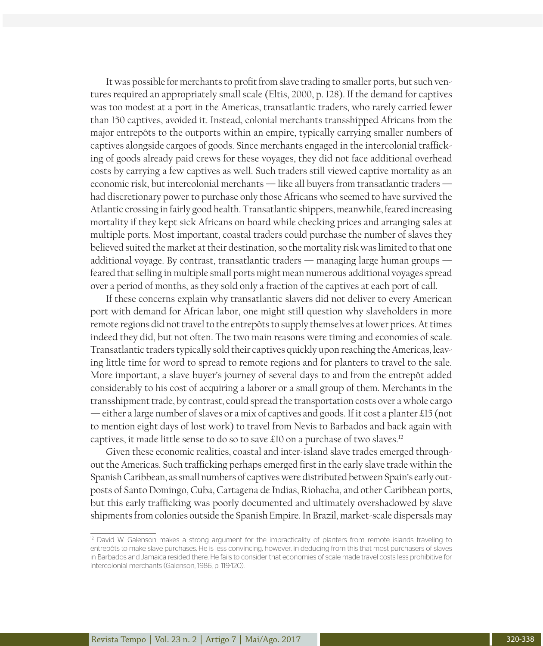It was possible for merchants to profit from slave trading to smaller ports, but such ventures required an appropriately small scale (Eltis, 2000, p. 128). If the demand for captives was too modest at a port in the Americas, transatlantic traders, who rarely carried fewer than 150 captives, avoided it. Instead, colonial merchants transshipped Africans from the major entrepôts to the outports within an empire, typically carrying smaller numbers of captives alongside cargoes of goods. Since merchants engaged in the intercolonial trafficking of goods already paid crews for these voyages, they did not face additional overhead costs by carrying a few captives as well. Such traders still viewed captive mortality as an economic risk, but intercolonial merchants — like all buyers from transatlantic traders had discretionary power to purchase only those Africans who seemed to have survived the Atlantic crossing in fairly good health. Transatlantic shippers, meanwhile, feared increasing mortality if they kept sick Africans on board while checking prices and arranging sales at multiple ports. Most important, coastal traders could purchase the number of slaves they believed suited the market at their destination, so the mortality risk was limited to that one additional voyage. By contrast, transatlantic traders — managing large human groups feared that selling in multiple small ports might mean numerous additional voyages spread over a period of months, as they sold only a fraction of the captives at each port of call.

If these concerns explain why transatlantic slavers did not deliver to every American port with demand for African labor, one might still question why slaveholders in more remote regions did not travel to the entrepôts to supply themselves at lower prices. At times indeed they did, but not often. The two main reasons were timing and economies of scale. Transatlantic traders typically sold their captives quickly upon reaching the Americas, leaving little time for word to spread to remote regions and for planters to travel to the sale. More important, a slave buyer's journey of several days to and from the entrepôt added considerably to his cost of acquiring a laborer or a small group of them. Merchants in the transshipment trade, by contrast, could spread the transportation costs over a whole cargo — either a large number of slaves or a mix of captives and goods. If it cost a planter £15 (not to mention eight days of lost work) to travel from Nevis to Barbados and back again with captives, it made little sense to do so to save £10 on a purchase of two slaves.12

Given these economic realities, coastal and inter-island slave trades emerged throughout the Americas. Such trafficking perhaps emerged first in the early slave trade within the Spanish Caribbean, as small numbers of captives were distributed between Spain's early outposts of Santo Domingo, Cuba, Cartagena de Indias, Riohacha, and other Caribbean ports, but this early trafficking was poorly documented and ultimately overshadowed by slave shipments from colonies outside the Spanish Empire. In Brazil, market-scale dispersals may

 $12$  David W. Galenson makes a strong argument for the impracticality of planters from remote islands traveling to entrepôts to make slave purchases. He is less convincing, however, in deducing from this that most purchasers of slaves in Barbados and Jamaica resided there. He fails to consider that economies of scale made travel costs less prohibitive for intercolonial merchants (Galenson, 1986, p. 119-120).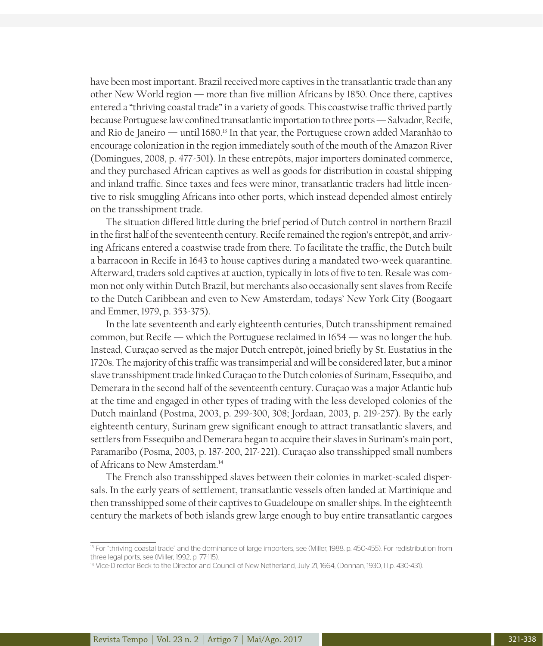have been most important. Brazil received more captives in the transatlantic trade than any other New World region — more than five million Africans by 1850. Once there, captives entered a "thriving coastal trade" in a variety of goods. This coastwise traffic thrived partly because Portuguese law confined transatlantic importation to three ports — Salvador, Recife, and Rio de Janeiro — until 1680.<sup>13</sup> In that year, the Portuguese crown added Maranhão to encourage colonization in the region immediately south of the mouth of the Amazon River (Domingues, 2008, p. 477-501). In these entrepôts, major importers dominated commerce, and they purchased African captives as well as goods for distribution in coastal shipping and inland traffic. Since taxes and fees were minor, transatlantic traders had little incentive to risk smuggling Africans into other ports, which instead depended almost entirely on the transshipment trade.

The situation differed little during the brief period of Dutch control in northern Brazil in the first half of the seventeenth century. Recife remained the region's entrepôt, and arriving Africans entered a coastwise trade from there. To facilitate the traffic, the Dutch built a barracoon in Recife in 1643 to house captives during a mandated two-week quarantine. Afterward, traders sold captives at auction, typically in lots of five to ten. Resale was common not only within Dutch Brazil, but merchants also occasionally sent slaves from Recife to the Dutch Caribbean and even to New Amsterdam, todays' New York City (Boogaart and Emmer, 1979, p. 353-375).

In the late seventeenth and early eighteenth centuries, Dutch transshipment remained common, but Recife — which the Portuguese reclaimed in 1654 — was no longer the hub. Instead, Curaçao served as the major Dutch entrepôt, joined briefly by St. Eustatius in the 1720s. The majority of this traffic was transimperial and will be considered later, but a minor slave transshipment trade linked Curaçao to the Dutch colonies of Surinam, Essequibo, and Demerara in the second half of the seventeenth century. Curaçao was a major Atlantic hub at the time and engaged in other types of trading with the less developed colonies of the Dutch mainland (Postma, 2003, p. 299-300, 308; Jordaan, 2003, p. 219-257). By the early eighteenth century, Surinam grew significant enough to attract transatlantic slavers, and settlers from Essequibo and Demerara began to acquire their slaves in Surinam's main port, Paramaribo (Posma, 2003, p. 187-200, 217-221). Curaçao also transshipped small numbers of Africans to New Amsterdam.14

The French also transshipped slaves between their colonies in market-scaled dispersals. In the early years of settlement, transatlantic vessels often landed at Martinique and then transshipped some of their captives to Guadeloupe on smaller ships. In the eighteenth century the markets of both islands grew large enough to buy entire transatlantic cargoes

<sup>&</sup>lt;sup>13</sup> For "thriving coastal trade" and the dominance of large importers, see (Miller, 1988, p. 450-455). For redistribution from three legal ports, see (Miller, 1992, p. 77-115).

<sup>14</sup> Vice-Director Beck to the Director and Council of New Netherland, July 21, 1664, (Donnan, 1930, III,p. 430-431).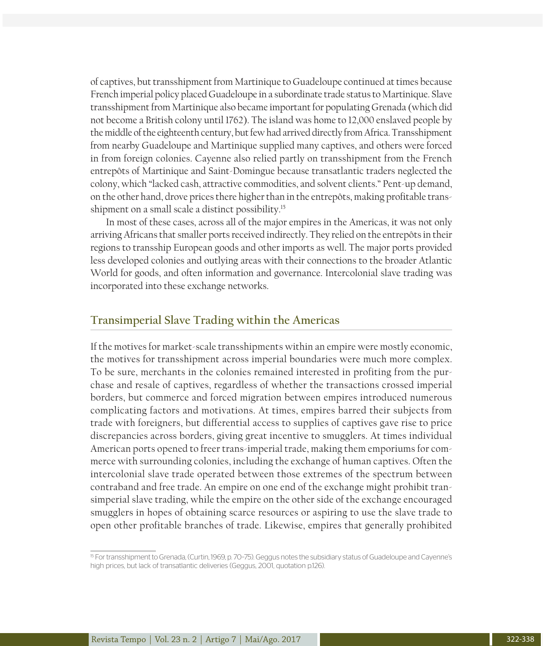of captives, but transshipment from Martinique to Guadeloupe continued at times because French imperial policy placed Guadeloupe in a subordinate trade status to Martinique. Slave transshipment from Martinique also became important for populating Grenada (which did not become a British colony until 1762). The island was home to 12,000 enslaved people by the middle of the eighteenth century, but few had arrived directly from Africa. Transshipment from nearby Guadeloupe and Martinique supplied many captives, and others were forced in from foreign colonies. Cayenne also relied partly on transshipment from the French entrepôts of Martinique and Saint-Domingue because transatlantic traders neglected the colony, which "lacked cash, attractive commodities, and solvent clients." Pent-up demand, on the other hand, drove prices there higher than in the entrepôts, making profitable transshipment on a small scale a distinct possibility.<sup>15</sup>

In most of these cases, across all of the major empires in the Americas, it was not only arriving Africans that smaller ports received indirectly. They relied on the entrepôts in their regions to transship European goods and other imports as well. The major ports provided less developed colonies and outlying areas with their connections to the broader Atlantic World for goods, and often information and governance. Intercolonial slave trading was incorporated into these exchange networks.

#### **Transimperial Slave Trading within the Americas**

If the motives for market-scale transshipments within an empire were mostly economic, the motives for transshipment across imperial boundaries were much more complex. To be sure, merchants in the colonies remained interested in profiting from the purchase and resale of captives, regardless of whether the transactions crossed imperial borders, but commerce and forced migration between empires introduced numerous complicating factors and motivations. At times, empires barred their subjects from trade with foreigners, but differential access to supplies of captives gave rise to price discrepancies across borders, giving great incentive to smugglers. At times individual American ports opened to freer trans-imperial trade, making them emporiums for commerce with surrounding colonies, including the exchange of human captives. Often the intercolonial slave trade operated between those extremes of the spectrum between contraband and free trade. An empire on one end of the exchange might prohibit transimperial slave trading, while the empire on the other side of the exchange encouraged smugglers in hopes of obtaining scarce resources or aspiring to use the slave trade to open other profitable branches of trade. Likewise, empires that generally prohibited

<sup>&</sup>lt;sup>15</sup> For transshipment to Grenada, (Curtin, 1969, p. 70-75). Geggus notes the subsidiary status of Guadeloupe and Cayenne's high prices, but lack of transatlantic deliveries (Geggus, 2001, quotation p.126).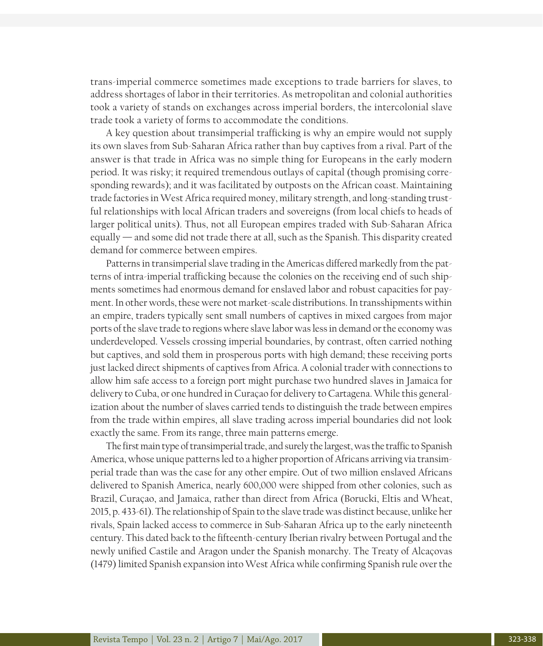trans-imperial commerce sometimes made exceptions to trade barriers for slaves, to address shortages of labor in their territories. As metropolitan and colonial authorities took a variety of stands on exchanges across imperial borders, the intercolonial slave trade took a variety of forms to accommodate the conditions.

A key question about transimperial trafficking is why an empire would not supply its own slaves from Sub-Saharan Africa rather than buy captives from a rival. Part of the answer is that trade in Africa was no simple thing for Europeans in the early modern period. It was risky; it required tremendous outlays of capital (though promising corresponding rewards); and it was facilitated by outposts on the African coast. Maintaining trade factories in West Africa required money, military strength, and long-standing trustful relationships with local African traders and sovereigns (from local chiefs to heads of larger political units). Thus, not all European empires traded with Sub-Saharan Africa equally — and some did not trade there at all, such as the Spanish. This disparity created demand for commerce between empires.

Patterns in transimperial slave trading in the Americas differed markedly from the patterns of intra-imperial trafficking because the colonies on the receiving end of such shipments sometimes had enormous demand for enslaved labor and robust capacities for payment. In other words, these were not market-scale distributions. In transshipments within an empire, traders typically sent small numbers of captives in mixed cargoes from major ports of the slave trade to regions where slave labor was less in demand or the economy was underdeveloped. Vessels crossing imperial boundaries, by contrast, often carried nothing but captives, and sold them in prosperous ports with high demand; these receiving ports just lacked direct shipments of captives from Africa. A colonial trader with connections to allow him safe access to a foreign port might purchase two hundred slaves in Jamaica for delivery to Cuba, or one hundred in Curaçao for delivery to Cartagena. While this generalization about the number of slaves carried tends to distinguish the trade between empires from the trade within empires, all slave trading across imperial boundaries did not look exactly the same. From its range, three main patterns emerge.

The first main type of transimperial trade, and surely the largest, was the traffic to Spanish America, whose unique patterns led to a higher proportion of Africans arriving via transimperial trade than was the case for any other empire. Out of two million enslaved Africans delivered to Spanish America, nearly 600,000 were shipped from other colonies, such as Brazil, Curaçao, and Jamaica, rather than direct from Africa (Borucki, Eltis and Wheat, 2015, p. 433-61). The relationship of Spain to the slave trade was distinct because, unlike her rivals, Spain lacked access to commerce in Sub-Saharan Africa up to the early nineteenth century. This dated back to the fifteenth-century Iberian rivalry between Portugal and the newly unified Castile and Aragon under the Spanish monarchy. The Treaty of Alcaçovas (1479) limited Spanish expansion into West Africa while confirming Spanish rule over the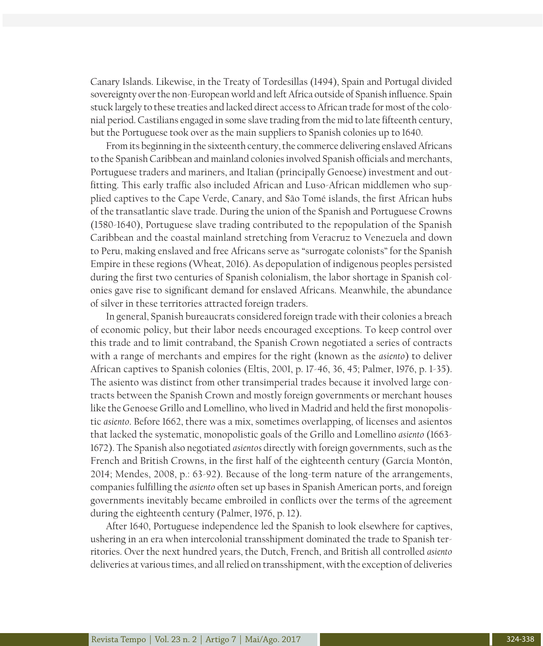Canary Islands. Likewise, in the Treaty of Tordesillas (1494), Spain and Portugal divided sovereignty over the non-European world and left Africa outside of Spanish influence. Spain stuck largely to these treaties and lacked direct access to African trade for most of the colonial period. Castilians engaged in some slave trading from the mid to late fifteenth century, but the Portuguese took over as the main suppliers to Spanish colonies up to 1640.

From its beginning in the sixteenth century, the commerce delivering enslaved Africans to the Spanish Caribbean and mainland colonies involved Spanish officials and merchants, Portuguese traders and mariners, and Italian (principally Genoese) investment and outfitting. This early traffic also included African and Luso-African middlemen who supplied captives to the Cape Verde, Canary, and São Tomé islands, the first African hubs of the transatlantic slave trade. During the union of the Spanish and Portuguese Crowns (1580-1640), Portuguese slave trading contributed to the repopulation of the Spanish Caribbean and the coastal mainland stretching from Veracruz to Venezuela and down to Peru, making enslaved and free Africans serve as "surrogate colonists" for the Spanish Empire in these regions (Wheat, 2016). As depopulation of indigenous peoples persisted during the first two centuries of Spanish colonialism, the labor shortage in Spanish colonies gave rise to significant demand for enslaved Africans. Meanwhile, the abundance of silver in these territories attracted foreign traders.

In general, Spanish bureaucrats considered foreign trade with their colonies a breach of economic policy, but their labor needs encouraged exceptions. To keep control over this trade and to limit contraband, the Spanish Crown negotiated a series of contracts with a range of merchants and empires for the right (known as the *asiento*) to deliver African captives to Spanish colonies (Eltis, 2001, p. 17-46, 36, 45; Palmer, 1976, p. 1-35). The asiento was distinct from other transimperial trades because it involved large contracts between the Spanish Crown and mostly foreign governments or merchant houses like the Genoese Grillo and Lomellino, who lived in Madrid and held the first monopolistic *asiento*. Before 1662, there was a mix, sometimes overlapping, of licenses and asientos that lacked the systematic, monopolistic goals of the Grillo and Lomellino *asiento* (1663- 1672). The Spanish also negotiated *asientos* directly with foreign governments, such as the French and British Crowns, in the first half of the eighteenth century (García Montón, 2014; Mendes, 2008, p.: 63-92). Because of the long-term nature of the arrangements, companies fulfilling the *asiento* often set up bases in Spanish American ports, and foreign governments inevitably became embroiled in conflicts over the terms of the agreement during the eighteenth century (Palmer, 1976, p. 12).

After 1640, Portuguese independence led the Spanish to look elsewhere for captives, ushering in an era when intercolonial transshipment dominated the trade to Spanish territories. Over the next hundred years, the Dutch, French, and British all controlled *asiento* deliveries at various times, and all relied on transshipment, with the exception of deliveries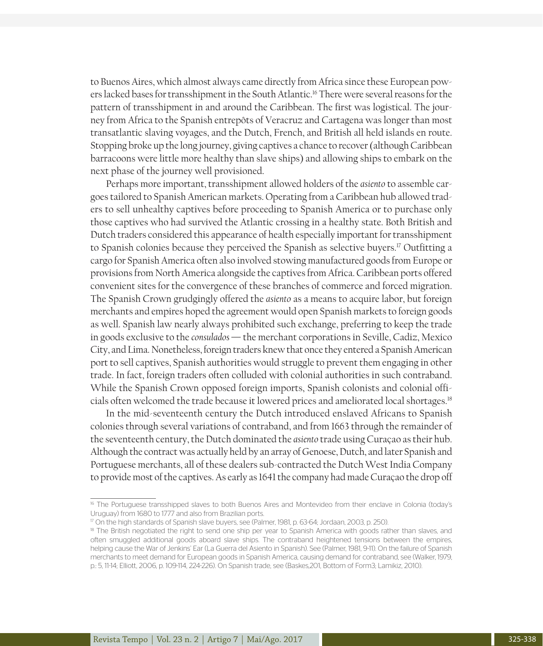to Buenos Aires, which almost always came directly from Africa since these European powers lacked bases for transshipment in the South Atlantic.16 There were several reasons for the pattern of transshipment in and around the Caribbean. The first was logistical. The journey from Africa to the Spanish entrepôts of Veracruz and Cartagena was longer than most transatlantic slaving voyages, and the Dutch, French, and British all held islands en route. Stopping broke up the long journey, giving captives a chance to recover (although Caribbean barracoons were little more healthy than slave ships) and allowing ships to embark on the next phase of the journey well provisioned.

Perhaps more important, transshipment allowed holders of the *asiento* to assemble cargoes tailored to Spanish American markets. Operating from a Caribbean hub allowed traders to sell unhealthy captives before proceeding to Spanish America or to purchase only those captives who had survived the Atlantic crossing in a healthy state. Both British and Dutch traders considered this appearance of health especially important for transshipment to Spanish colonies because they perceived the Spanish as selective buyers.<sup>17</sup> Outfitting a cargo for Spanish America often also involved stowing manufactured goods from Europe or provisions from North America alongside the captives from Africa. Caribbean ports offered convenient sites for the convergence of these branches of commerce and forced migration. The Spanish Crown grudgingly offered the *asiento* as a means to acquire labor, but foreign merchants and empires hoped the agreement would open Spanish markets to foreign goods as well. Spanish law nearly always prohibited such exchange, preferring to keep the trade in goods exclusive to the *consulados —* the merchant corporations in Seville, Cadiz, Mexico City, and Lima. Nonetheless, foreign traders knew that once they entered a Spanish American port to sell captives, Spanish authorities would struggle to prevent them engaging in other trade. In fact, foreign traders often colluded with colonial authorities in such contraband. While the Spanish Crown opposed foreign imports, Spanish colonists and colonial officials often welcomed the trade because it lowered prices and ameliorated local shortages.18

In the mid-seventeenth century the Dutch introduced enslaved Africans to Spanish colonies through several variations of contraband, and from 1663 through the remainder of the seventeenth century, the Dutch dominated the *asiento* trade using Curaçao as their hub. Although the contract was actually held by an array of Genoese, Dutch, and later Spanish and Portuguese merchants, all of these dealers sub-contracted the Dutch West India Company to provide most of the captives. As early as 1641 the company had made Curaçao the drop off

<sup>16</sup> The Portuguese transshipped slaves to both Buenos Aires and Montevideo from their enclave in Colonia (today's Uruguay) from 1680 to 1777 and also from Brazilian ports.

<sup>17</sup> On the high standards of Spanish slave buyers, see (Palmer, 1981, p. 63-64; Jordaan, 2003, p. 250).

<sup>&</sup>lt;sup>18</sup> The British negotiated the right to send one ship per year to Spanish America with goods rather than slaves, and often smuggled additional goods aboard slave ships. The contraband heightened tensions between the empires, helping cause the War of Jenkins' Ear (La Guerra del Asiento in Spanish). See (Palmer, 1981, 9-11). On the failure of Spanish merchants to meet demand for European goods in Spanish America, causing demand for contraband, see (Walker, 1979, p.: 5, 11-14; Elliott, 2006, p. 109-114, 224-226). On Spanish trade, see (Baskes,201, Bottom of Form3; Lamikiz, 2010).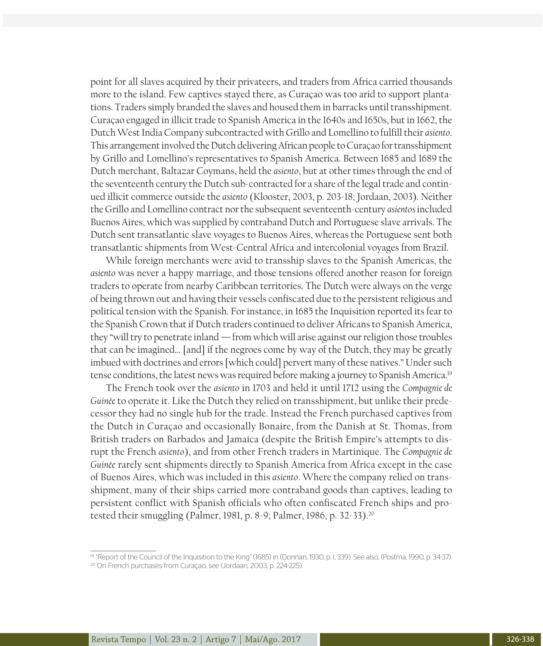point for all slaves acquired by their privateers, and traders from Africa carried thousands more to the island. Few captives stayed there, as Curaçao was too arid to support plantations. Traders simply branded the slaves and housed them in barracks until transshipment. Curaçao engaged in illicit trade to Spanish America in the 1640s and 1650s, but in 1662, the Dutch West India Company subcontracted with Grillo and Lomellino to fulfill their *asiento*. This arrangement involved the Dutch delivering African people to Curaçao for transshipment by Grillo and Lomellino's representatives to Spanish America. Between 1685 and 1689 the Dutch merchant, Baltazar Coymans, held the *asiento*, but at other times through the end of the seventeenth century the Dutch sub-contracted for a share of the legal trade and continued illicit commerce outside the *asiento* (Klooster, 2003, p. 203-18; Jordaan, 2003). Neither the Grillo and Lomellino contract nor the subsequent seventeenth-century *asientos* included Buenos Aires, which was supplied by contraband Dutch and Portuguese slave arrivals. The Dutch sent transatlantic slave voyages to Buenos Aires, whereas the Portuguese sent both transatlantic shipments from West-Central Africa and intercolonial voyages from Brazil.

While foreign merchants were avid to transship slaves to the Spanish Americas, the *asiento* was never a happy marriage, and those tensions offered another reason for foreign traders to operate from nearby Caribbean territories. The Dutch were always on the verge of being thrown out and having their vessels confiscated due to the persistent religious and political tension with the Spanish. For instance, in 1685 the Inquisition reported its fear to the Spanish Crown that if Dutch traders continued to deliver Africans to Spanish America, they "will try to penetrate inland — from which will arise against our religion those troubles that can be imagined… [and] if the negroes come by way of the Dutch, they may be greatly imbued with doctrines and errors [which could] pervert many of these natives." Under such tense conditions, the latest news was required before making a journey to Spanish America.19

The French took over the *asiento* in 1703 and held it until 1712 using the *Compagnie de Guinée* to operate it. Like the Dutch they relied on transshipment, but unlike their predecessor they had no single hub for the trade. Instead the French purchased captives from the Dutch in Curaçao and occasionally Bonaire, from the Danish at St. Thomas, from British traders on Barbados and Jamaica (despite the British Empire's attempts to disrupt the French *asiento*), and from other French traders in Martinique. The *Compagnie de Guinée* rarely sent shipments directly to Spanish America from Africa except in the case of Buenos Aires, which was included in this *asiento*. Where the company relied on transshipment, many of their ships carried more contraband goods than captives, leading to persistent conflict with Spanish officials who often confiscated French ships and protested their smuggling (Palmer, 1981, p. 8-9; Palmer, 1986, p. 32-33).20

<sup>19 &</sup>quot;Report of the Council of the Inquisition to the King" (1685) in (Donnan, 1930, p. I, 339). See also, (Postma, 1990, p. 34-37).

<sup>20</sup> On French purchases from Curaçao, see (Jordaan, 2003, p. 224-225).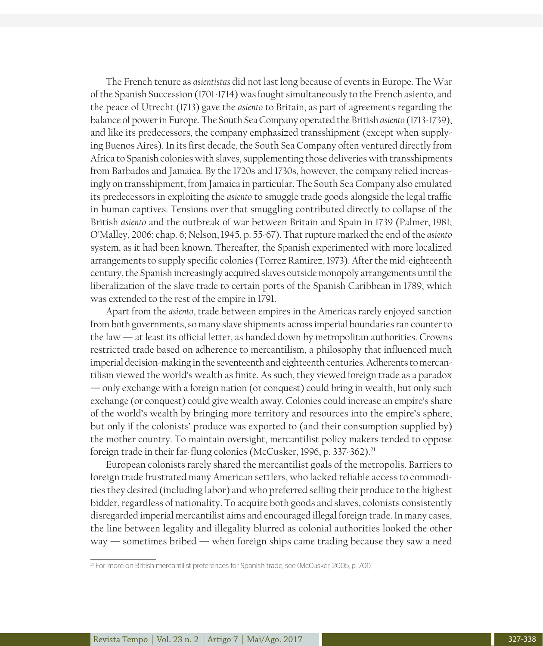The French tenure as *asientistas* did not last long because of events in Europe. The War of the Spanish Succession (1701-1714) was fought simultaneously to the French asiento, and the peace of Utrecht (1713) gave the *asiento* to Britain, as part of agreements regarding the balance of power in Europe. The South Sea Company operated the British *asiento* (1713-1739), and like its predecessors, the company emphasized transshipment (except when supplying Buenos Aires). In its first decade, the South Sea Company often ventured directly from Africa to Spanish colonies with slaves, supplementing those deliveries with transshipments from Barbados and Jamaica. By the 1720s and 1730s, however, the company relied increasingly on transshipment, from Jamaica in particular. The South Sea Company also emulated its predecessors in exploiting the *asiento* to smuggle trade goods alongside the legal traffic in human captives. Tensions over that smuggling contributed directly to collapse of the British *asiento* and the outbreak of war between Britain and Spain in 1739 (Palmer, 1981; O'Malley, 2006: chap. 6; Nelson, 1945, p. 55-67). That rupture marked the end of the *asiento* system, as it had been known. Thereafter, the Spanish experimented with more localized arrangements to supply specific colonies (Torrez Ramirez, 1973). After the mid-eighteenth century, the Spanish increasingly acquired slaves outside monopoly arrangements until the liberalization of the slave trade to certain ports of the Spanish Caribbean in 1789, which was extended to the rest of the empire in 1791.

Apart from the *asiento*, trade between empires in the Americas rarely enjoyed sanction from both governments, so many slave shipments across imperial boundaries ran counter to the law — at least its official letter, as handed down by metropolitan authorities. Crowns restricted trade based on adherence to mercantilism, a philosophy that influenced much imperial decision-making in the seventeenth and eighteenth centuries. Adherents to mercantilism viewed the world's wealth as finite. As such, they viewed foreign trade as a paradox — only exchange with a foreign nation (or conquest) could bring in wealth, but only such exchange (or conquest) could give wealth away. Colonies could increase an empire's share of the world's wealth by bringing more territory and resources into the empire's sphere, but only if the colonists' produce was exported to (and their consumption supplied by) the mother country. To maintain oversight, mercantilist policy makers tended to oppose foreign trade in their far-flung colonies (McCusker, 1996, p. 337-362).21

European colonists rarely shared the mercantilist goals of the metropolis. Barriers to foreign trade frustrated many American settlers, who lacked reliable access to commodities they desired (including labor) and who preferred selling their produce to the highest bidder, regardless of nationality. To acquire both goods and slaves, colonists consistently disregarded imperial mercantilist aims and encouraged illegal foreign trade. In many cases, the line between legality and illegality blurred as colonial authorities looked the other way — sometimes bribed — when foreign ships came trading because they saw a need

<sup>21</sup> For more on British mercantilist preferences for Spanish trade, see (McCusker, 2005, p. 701).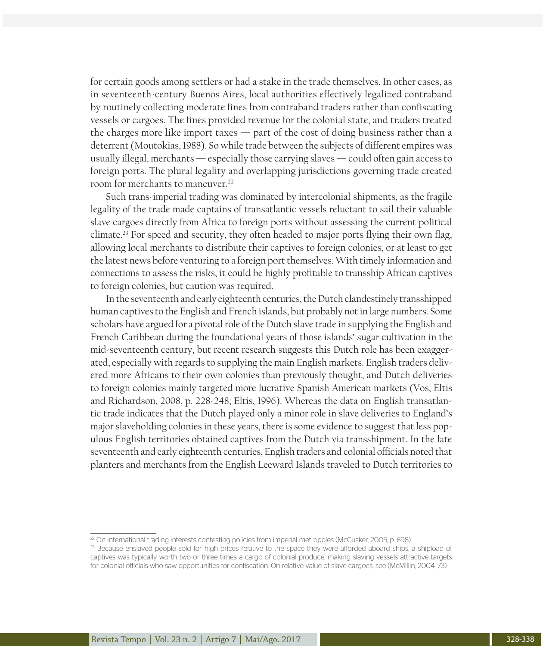for certain goods among settlers or had a stake in the trade themselves. In other cases, as in seventeenth-century Buenos Aires, local authorities effectively legalized contraband by routinely collecting moderate fines from contraband traders rather than confiscating vessels or cargoes. The fines provided revenue for the colonial state, and traders treated the charges more like import taxes — part of the cost of doing business rather than a deterrent (Moutokias, 1988). So while trade between the subjects of different empires was usually illegal, merchants — especially those carrying slaves — could often gain access to foreign ports. The plural legality and overlapping jurisdictions governing trade created room for merchants to maneuver.<sup>22</sup>

Such trans-imperial trading was dominated by intercolonial shipments, as the fragile legality of the trade made captains of transatlantic vessels reluctant to sail their valuable slave cargoes directly from Africa to foreign ports without assessing the current political climate.<sup>23</sup> For speed and security, they often headed to major ports flying their own flag, allowing local merchants to distribute their captives to foreign colonies, or at least to get the latest news before venturing to a foreign port themselves. With timely information and connections to assess the risks, it could be highly profitable to transship African captives to foreign colonies, but caution was required.

In the seventeenth and early eighteenth centuries, the Dutch clandestinely transshipped human captives to the English and French islands, but probably not in large numbers. Some scholars have argued for a pivotal role of the Dutch slave trade in supplying the English and French Caribbean during the foundational years of those islands' sugar cultivation in the mid-seventeenth century, but recent research suggests this Dutch role has been exaggerated, especially with regards to supplying the main English markets. English traders delivered more Africans to their own colonies than previously thought, and Dutch deliveries to foreign colonies mainly targeted more lucrative Spanish American markets (Vos, Eltis and Richardson, 2008, p. 228-248; Eltis, 1996). Whereas the data on English transatlantic trade indicates that the Dutch played only a minor role in slave deliveries to England's major slaveholding colonies in these years, there is some evidence to suggest that less populous English territories obtained captives from the Dutch via transshipment. In the late seventeenth and early eighteenth centuries, English traders and colonial officials noted that planters and merchants from the English Leeward Islands traveled to Dutch territories to

<sup>&</sup>lt;sup>22</sup> On international trading interests contesting policies from imperial metropoles (McCusker, 2005, p. 698).

<sup>&</sup>lt;sup>23</sup> Because enslaved people sold for high prices relative to the space they were afforded aboard ships, a shipload of captives was typically worth two or three times a cargo of colonial produce, making slaving vessels attractive targets for colonial officials who saw opportunities for confiscation. On relative value of slave cargoes, see (McMillin, 2004, 73).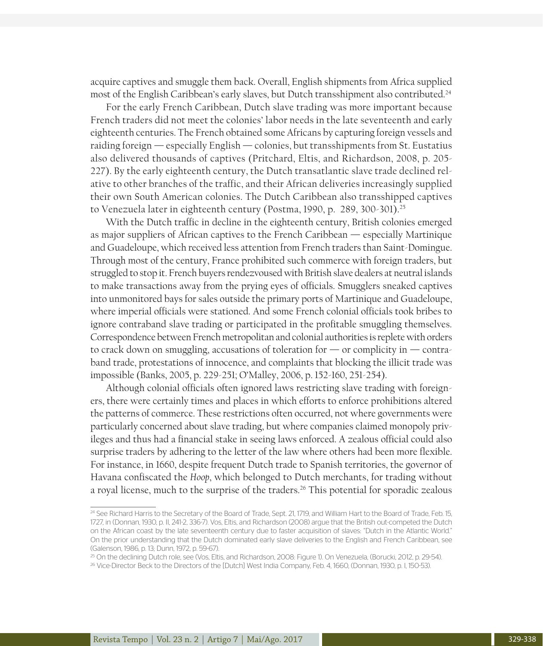acquire captives and smuggle them back. Overall, English shipments from Africa supplied most of the English Caribbean's early slaves, but Dutch transshipment also contributed.<sup>24</sup>

For the early French Caribbean, Dutch slave trading was more important because French traders did not meet the colonies' labor needs in the late seventeenth and early eighteenth centuries. The French obtained some Africans by capturing foreign vessels and raiding foreign — especially English — colonies, but transshipments from St. Eustatius also delivered thousands of captives (Pritchard, Eltis, and Richardson, 2008, p. 205- 227). By the early eighteenth century, the Dutch transatlantic slave trade declined relative to other branches of the traffic, and their African deliveries increasingly supplied their own South American colonies. The Dutch Caribbean also transshipped captives to Venezuela later in eighteenth century (Postma, 1990, p. 289, 300-301).25

With the Dutch traffic in decline in the eighteenth century, British colonies emerged as major suppliers of African captives to the French Caribbean — especially Martinique and Guadeloupe, which received less attention from French traders than Saint-Domingue. Through most of the century, France prohibited such commerce with foreign traders, but struggled to stop it. French buyers rendezvoused with British slave dealers at neutral islands to make transactions away from the prying eyes of officials. Smugglers sneaked captives into unmonitored bays for sales outside the primary ports of Martinique and Guadeloupe, where imperial officials were stationed. And some French colonial officials took bribes to ignore contraband slave trading or participated in the profitable smuggling themselves. Correspondence between French metropolitan and colonial authorities is replete with orders to crack down on smuggling, accusations of toleration for — or complicity in — contraband trade, protestations of innocence, and complaints that blocking the illicit trade was impossible (Banks, 2005, p. 229-251; O'Malley, 2006, p. 152-160, 251-254).

Although colonial officials often ignored laws restricting slave trading with foreigners, there were certainly times and places in which efforts to enforce prohibitions altered the patterns of commerce. These restrictions often occurred, not where governments were particularly concerned about slave trading, but where companies claimed monopoly privileges and thus had a financial stake in seeing laws enforced. A zealous official could also surprise traders by adhering to the letter of the law where others had been more flexible. For instance, in 1660, despite frequent Dutch trade to Spanish territories, the governor of Havana confiscated the *Hoop*, which belonged to Dutch merchants, for trading without a royal license, much to the surprise of the traders.26 This potential for sporadic zealous

<sup>&</sup>lt;sup>24</sup> See Richard Harris to the Secretary of the Board of Trade, Sept. 21, 1719, and William Hart to the Board of Trade, Feb. 15, 1727, in (Donnan, 1930, p. II, 241-2, 336-7). Vos, Eltis, and Richardson (2008) argue that the British out-competed the Dutch on the African coast by the late seventeenth century due to faster acquisition of slaves: "Dutch in the Atlantic World." On the prior understanding that the Dutch dominated early slave deliveries to the English and French Caribbean, see (Galenson, 1986, p. 13; Dunn, 1972, p. 59-67).

<sup>&</sup>lt;sup>25</sup> On the declining Dutch role, see (Vos, Eltis, and Richardson, 2008: Figure 1). On Venezuela, (Borucki, 2012, p. 29-54).

<sup>&</sup>lt;sup>26</sup> Vice-Director Beck to the Directors of the [Dutch] West India Company, Feb. 4, 1660, (Donnan, 1930, p. I, 150-53).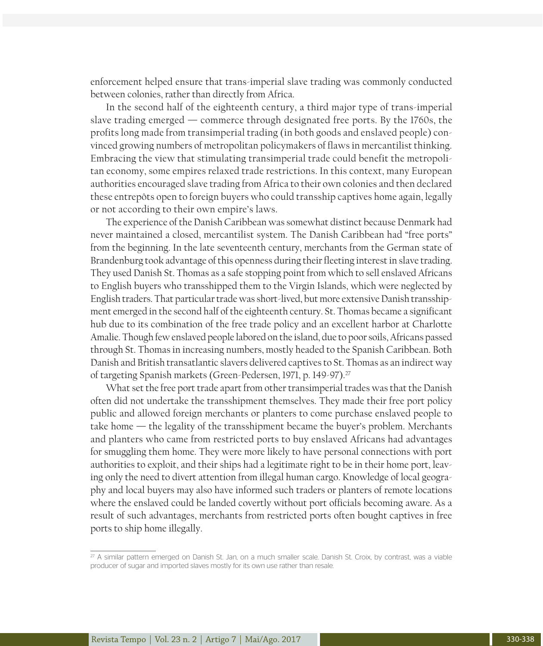enforcement helped ensure that trans-imperial slave trading was commonly conducted between colonies, rather than directly from Africa.

In the second half of the eighteenth century, a third major type of trans-imperial slave trading emerged — commerce through designated free ports. By the 1760s, the profits long made from transimperial trading (in both goods and enslaved people) convinced growing numbers of metropolitan policymakers of flaws in mercantilist thinking. Embracing the view that stimulating transimperial trade could benefit the metropolitan economy, some empires relaxed trade restrictions. In this context, many European authorities encouraged slave trading from Africa to their own colonies and then declared these entrepôts open to foreign buyers who could transship captives home again, legally or not according to their own empire's laws.

The experience of the Danish Caribbean was somewhat distinct because Denmark had never maintained a closed, mercantilist system. The Danish Caribbean had "free ports" from the beginning. In the late seventeenth century, merchants from the German state of Brandenburg took advantage of this openness during their fleeting interest in slave trading. They used Danish St. Thomas as a safe stopping point from which to sell enslaved Africans to English buyers who transshipped them to the Virgin Islands, which were neglected by English traders. That particular trade was short-lived, but more extensive Danish transshipment emerged in the second half of the eighteenth century. St. Thomas became a significant hub due to its combination of the free trade policy and an excellent harbor at Charlotte Amalie. Though few enslaved people labored on the island, due to poor soils, Africans passed through St. Thomas in increasing numbers, mostly headed to the Spanish Caribbean. Both Danish and British transatlantic slavers delivered captives to St. Thomas as an indirect way of targeting Spanish markets (Green-Pedersen, 1971, p. 149-97).27

What set the free port trade apart from other transimperial trades was that the Danish often did not undertake the transshipment themselves. They made their free port policy public and allowed foreign merchants or planters to come purchase enslaved people to take home — the legality of the transshipment became the buyer's problem. Merchants and planters who came from restricted ports to buy enslaved Africans had advantages for smuggling them home. They were more likely to have personal connections with port authorities to exploit, and their ships had a legitimate right to be in their home port, leaving only the need to divert attention from illegal human cargo. Knowledge of local geography and local buyers may also have informed such traders or planters of remote locations where the enslaved could be landed covertly without port officials becoming aware. As a result of such advantages, merchants from restricted ports often bought captives in free ports to ship home illegally.

 $27$  A similar pattern emerged on Danish St. Jan, on a much smaller scale. Danish St. Croix, by contrast, was a viable producer of sugar and imported slaves mostly for its own use rather than resale.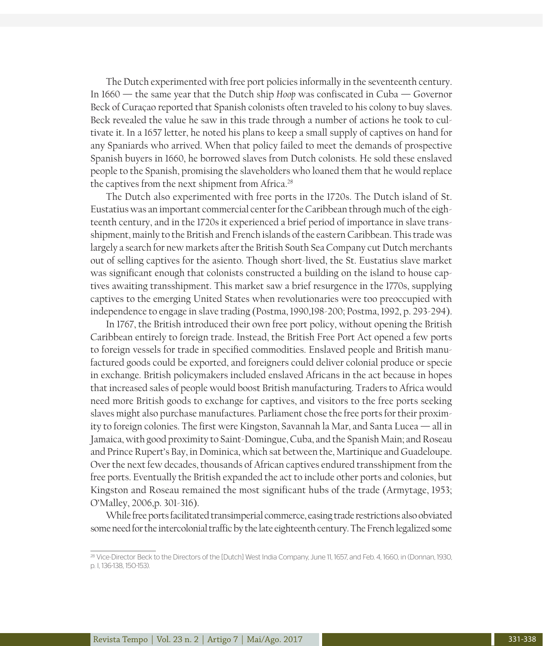The Dutch experimented with free port policies informally in the seventeenth century. In 1660 — the same year that the Dutch ship *Hoop* was confiscated in Cuba — Governor Beck of Curaçao reported that Spanish colonists often traveled to his colony to buy slaves. Beck revealed the value he saw in this trade through a number of actions he took to cultivate it. In a 1657 letter, he noted his plans to keep a small supply of captives on hand for any Spaniards who arrived. When that policy failed to meet the demands of prospective Spanish buyers in 1660, he borrowed slaves from Dutch colonists. He sold these enslaved people to the Spanish, promising the slaveholders who loaned them that he would replace the captives from the next shipment from Africa.<sup>28</sup>

The Dutch also experimented with free ports in the 1720s. The Dutch island of St. Eustatius was an important commercial center for the Caribbean through much of the eighteenth century, and in the 1720s it experienced a brief period of importance in slave transshipment, mainly to the British and French islands of the eastern Caribbean. This trade was largely a search for new markets after the British South Sea Company cut Dutch merchants out of selling captives for the asiento. Though short-lived, the St. Eustatius slave market was significant enough that colonists constructed a building on the island to house captives awaiting transshipment. This market saw a brief resurgence in the 1770s, supplying captives to the emerging United States when revolutionaries were too preoccupied with independence to engage in slave trading (Postma, 1990,198-200; Postma, 1992, p. 293-294).

In 1767, the British introduced their own free port policy, without opening the British Caribbean entirely to foreign trade. Instead, the British Free Port Act opened a few ports to foreign vessels for trade in specified commodities. Enslaved people and British manufactured goods could be exported, and foreigners could deliver colonial produce or specie in exchange. British policymakers included enslaved Africans in the act because in hopes that increased sales of people would boost British manufacturing. Traders to Africa would need more British goods to exchange for captives, and visitors to the free ports seeking slaves might also purchase manufactures. Parliament chose the free ports for their proximity to foreign colonies. The first were Kingston, Savannah la Mar, and Santa Lucea — all in Jamaica, with good proximity to Saint-Domingue, Cuba, and the Spanish Main; and Roseau and Prince Rupert's Bay, in Dominica, which sat between the, Martinique and Guadeloupe. Over the next few decades, thousands of African captives endured transshipment from the free ports. Eventually the British expanded the act to include other ports and colonies, but Kingston and Roseau remained the most significant hubs of the trade (Armytage, 1953; O'Malley, 2006,p. 301-316).

While free ports facilitated transimperial commerce, easing trade restrictions also obviated some need for the intercolonial traffic by the late eighteenth century. The French legalized some

<sup>&</sup>lt;sup>28</sup> Vice-Director Beck to the Directors of the [Dutch] West India Company, June 11, 1657, and Feb. 4, 1660, in (Donnan, 1930, p. I, 136-138, 150-153).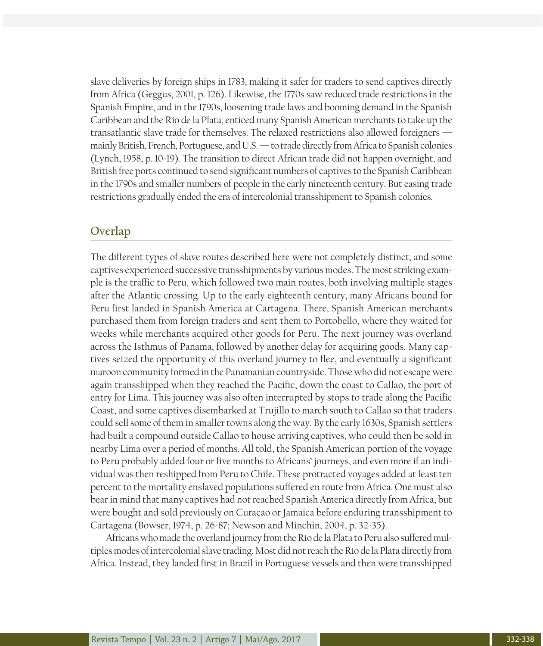slave deliveries by foreign ships in 1783, making it safer for traders to send captives directly from Africa (Geggus, 2001, p. 126). Likewise, the 1770s saw reduced trade restrictions in the Spanish Empire, and in the 1790s, loosening trade laws and booming demand in the Spanish Caribbean and the Río de la Plata, enticed many Spanish American merchants to take up the transatlantic slave trade for themselves. The relaxed restrictions also allowed foreigners mainly British, French, Portuguese, and U.S. — to trade directly from Africa to Spanish colonies (Lynch, 1958, p. 10-19). The transition to direct African trade did not happen overnight, and British free ports continued to send significant numbers of captives to the Spanish Caribbean in the 1790s and smaller numbers of people in the early nineteenth century. But easing trade restrictions gradually ended the era of intercolonial transshipment to Spanish colonies.

### **Overlap**

The different types of slave routes described here were not completely distinct, and some captives experienced successive transshipments by various modes. The most striking example is the traffic to Peru, which followed two main routes, both involving multiple stages after the Atlantic crossing. Up to the early eighteenth century, many Africans bound for Peru first landed in Spanish America at Cartagena. There, Spanish American merchants purchased them from foreign traders and sent them to Portobello, where they waited for weeks while merchants acquired other goods for Peru. The next journey was overland across the Isthmus of Panama, followed by another delay for acquiring goods. Many captives seized the opportunity of this overland journey to flee, and eventually a significant maroon community formed in the Panamanian countryside. Those who did not escape were again transshipped when they reached the Pacific, down the coast to Callao, the port of entry for Lima. This journey was also often interrupted by stops to trade along the Pacific Coast, and some captives disembarked at Trujillo to march south to Callao so that traders could sell some of them in smaller towns along the way. By the early 1630s, Spanish settlers had built a compound outside Callao to house arriving captives, who could then be sold in nearby Lima over a period of months. All told, the Spanish American portion of the voyage to Peru probably added four or five months to Africans' journeys, and even more if an individual was then reshipped from Peru to Chile. These protracted voyages added at least ten percent to the mortality enslaved populations suffered en route from Africa. One must also bear in mind that many captives had not reached Spanish America directly from Africa, but were bought and sold previously on Curaçao or Jamaica before enduring transshipment to Cartagena (Bowser, 1974, p. 26-87; Newson and Minchin, 2004, p. 32-35).

Africans who made the overland journey from the Río de la Plata to Peru also suffered multiples modes of intercolonial slave trading. Most did not reach the Río de la Plata directly from Africa. Instead, they landed first in Brazil in Portuguese vessels and then were transshipped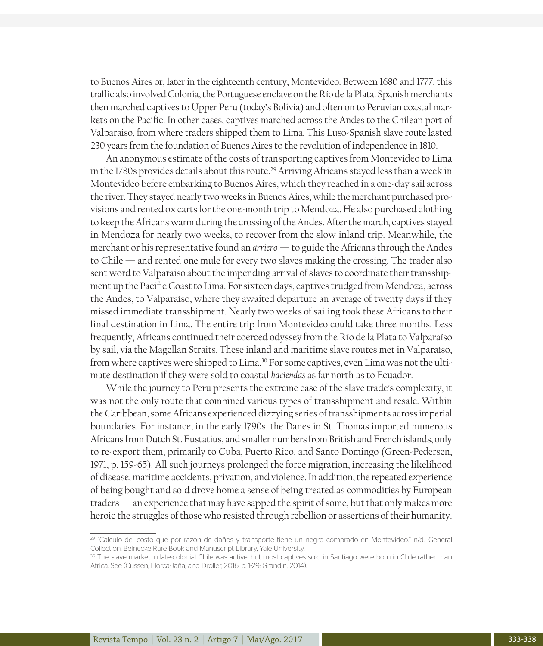to Buenos Aires or, later in the eighteenth century, Montevideo. Between 1680 and 1777, this traffic also involved Colonia, the Portuguese enclave on the Río de la Plata. Spanish merchants then marched captives to Upper Peru (today's Bolivia) and often on to Peruvian coastal markets on the Pacific. In other cases, captives marched across the Andes to the Chilean port of Valparaiso, from where traders shipped them to Lima. This Luso-Spanish slave route lasted 230 years from the foundation of Buenos Aires to the revolution of independence in 1810.

An anonymous estimate of the costs of transporting captives from Montevideo to Lima in the 1780s provides details about this route.<sup>29</sup> Arriving Africans stayed less than a week in Montevideo before embarking to Buenos Aires, which they reached in a one-day sail across the river. They stayed nearly two weeks in Buenos Aires, while the merchant purchased provisions and rented ox carts for the one-month trip to Mendoza. He also purchased clothing to keep the Africans warm during the crossing of the Andes. After the march, captives stayed in Mendoza for nearly two weeks, to recover from the slow inland trip. Meanwhile, the merchant or his representative found an *arriero* — to guide the Africans through the Andes to Chile — and rented one mule for every two slaves making the crossing. The trader also sent word to Valparaiso about the impending arrival of slaves to coordinate their transshipment up the Pacific Coast to Lima. For sixteen days, captives trudged from Mendoza, across the Andes, to Valparaíso, where they awaited departure an average of twenty days if they missed immediate transshipment. Nearly two weeks of sailing took these Africans to their final destination in Lima. The entire trip from Montevideo could take three months. Less frequently, Africans continued their coerced odyssey from the Río de la Plata to Valparaíso by sail, via the Magellan Straits. These inland and maritime slave routes met in Valparaíso, from where captives were shipped to Lima.<sup>30</sup> For some captives, even Lima was not the ultimate destination if they were sold to coastal *haciendas* as far north as to Ecuador.

While the journey to Peru presents the extreme case of the slave trade's complexity, it was not the only route that combined various types of transshipment and resale. Within the Caribbean, some Africans experienced dizzying series of transshipments across imperial boundaries. For instance, in the early 1790s, the Danes in St. Thomas imported numerous Africans from Dutch St. Eustatius, and smaller numbers from British and French islands, only to re-export them, primarily to Cuba, Puerto Rico, and Santo Domingo (Green-Pedersen, 1971, p. 159-65). All such journeys prolonged the force migration, increasing the likelihood of disease, maritime accidents, privation, and violence. In addition, the repeated experience of being bought and sold drove home a sense of being treated as commodities by European traders — an experience that may have sapped the spirit of some, but that only makes more heroic the struggles of those who resisted through rebellion or assertions of their humanity.

<sup>&</sup>lt;sup>29</sup> "Calculo del costo que por razon de daños y transporte tiene un negro comprado en Montevideo." n/d., General Collection, Beinecke Rare Book and Manuscript Library, Yale University.

<sup>&</sup>lt;sup>30</sup> The slave market in late-colonial Chile was active, but most captives sold in Santiago were born in Chile rather than Africa. See (Cussen, Llorca-Jaña, and Droller, 2016, p. 1-29; Grandin, 2014).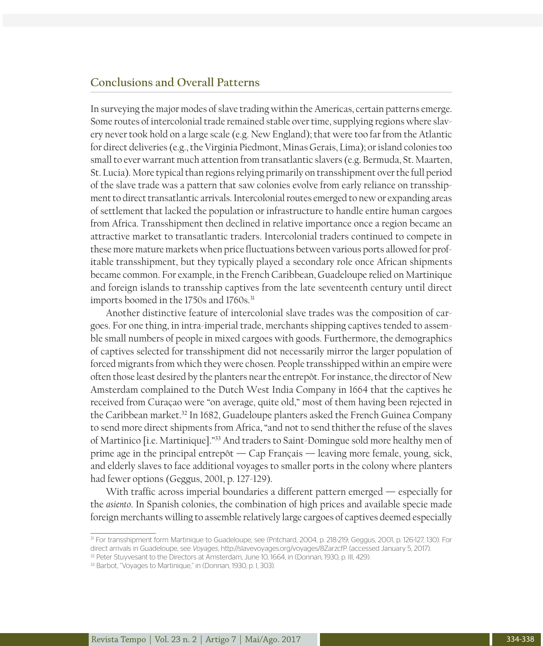#### **Conclusions and Overall Patterns**

In surveying the major modes of slave trading within the Americas, certain patterns emerge. Some routes of intercolonial trade remained stable over time, supplying regions where slavery never took hold on a large scale (e.g. New England); that were too far from the Atlantic for direct deliveries (e.g., the Virginia Piedmont, Minas Gerais, Lima); or island colonies too small to ever warrant much attention from transatlantic slavers (e.g. Bermuda, St. Maarten, St. Lucia). More typical than regions relying primarily on transshipment over the full period of the slave trade was a pattern that saw colonies evolve from early reliance on transshipment to direct transatlantic arrivals. Intercolonial routes emerged to new or expanding areas of settlement that lacked the population or infrastructure to handle entire human cargoes from Africa. Transshipment then declined in relative importance once a region became an attractive market to transatlantic traders. Intercolonial traders continued to compete in these more mature markets when price fluctuations between various ports allowed for profitable transshipment, but they typically played a secondary role once African shipments became common. For example, in the French Caribbean, Guadeloupe relied on Martinique and foreign islands to transship captives from the late seventeenth century until direct imports boomed in the 1750s and 1760s.<sup>31</sup>

Another distinctive feature of intercolonial slave trades was the composition of cargoes. For one thing, in intra-imperial trade, merchants shipping captives tended to assemble small numbers of people in mixed cargoes with goods. Furthermore, the demographics of captives selected for transshipment did not necessarily mirror the larger population of forced migrants from which they were chosen. People transshipped within an empire were often those least desired by the planters near the entrepôt. For instance, the director of New Amsterdam complained to the Dutch West India Company in 1664 that the captives he received from Curaçao were "on average, quite old," most of them having been rejected in the Caribbean market.<sup>32</sup> In 1682, Guadeloupe planters asked the French Guinea Company to send more direct shipments from Africa, "and not to send thither the refuse of the slaves of Martinico [i.e. Martinique]."<sup>33</sup> And traders to Saint-Domingue sold more healthy men of prime age in the principal entrepôt — Cap Français — leaving more female, young, sick, and elderly slaves to face additional voyages to smaller ports in the colony where planters had fewer options (Geggus, 2001, p. 127-129).

With traffic across imperial boundaries a different pattern emerged — especially for the *asiento*. In Spanish colonies, the combination of high prices and available specie made foreign merchants willing to assemble relatively large cargoes of captives deemed especially

<sup>31</sup> For transshipment form Martinique to Guadeloupe, see (Pritchard, 2004, p. 218-219; Geggus, 2001, p. 126-127, 130). For direct arrivals in Guadeloupe, see *Voyages*, http://slavevoyages.org/voyages/8ZarzcfP. (accessed January 5, 2017).

<sup>&</sup>lt;sup>32</sup> Peter Stuyvesant to the Directors at Amsterdam, June 10, 1664, in (Donnan, 1930, p. III, 429).

<sup>33</sup> Barbot, "Voyages to Martinique," in (Donnan, 1930, p. I, 303).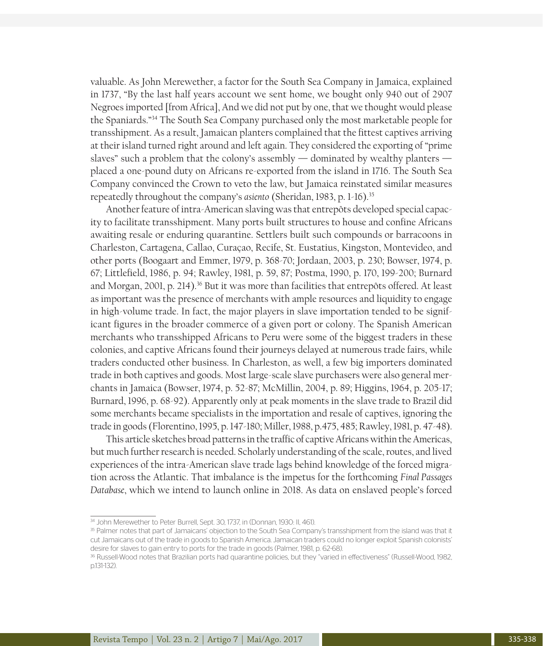valuable. As John Merewether, a factor for the South Sea Company in Jamaica, explained in 1737, "By the last half years account we sent home, we bought only 940 out of 2907 Negroes imported [from Africa], And we did not put by one, that we thought would please the Spaniards."<sup>34</sup> The South Sea Company purchased only the most marketable people for transshipment. As a result, Jamaican planters complained that the fittest captives arriving at their island turned right around and left again. They considered the exporting of "prime slaves" such a problem that the colony's assembly — dominated by wealthy planters placed a one-pound duty on Africans re-exported from the island in 1716. The South Sea Company convinced the Crown to veto the law, but Jamaica reinstated similar measures repeatedly throughout the company's *asiento* (Sheridan, 1983, p. 1-16).35

Another feature of intra-American slaving was that entrepôts developed special capacity to facilitate transshipment. Many ports built structures to house and confine Africans awaiting resale or enduring quarantine. Settlers built such compounds or barracoons in Charleston, Cartagena, Callao, Curaçao, Recife, St. Eustatius, Kingston, Montevideo, and other ports (Boogaart and Emmer, 1979, p. 368-70; Jordaan, 2003, p. 230; Bowser, 1974, p. 67; Littlefield, 1986, p. 94; Rawley, 1981, p. 59, 87; Postma, 1990, p. 170, 199-200; Burnard and Morgan, 2001, p. 214).<sup>36</sup> But it was more than facilities that entrepôts offered. At least as important was the presence of merchants with ample resources and liquidity to engage in high-volume trade. In fact, the major players in slave importation tended to be significant figures in the broader commerce of a given port or colony. The Spanish American merchants who transshipped Africans to Peru were some of the biggest traders in these colonies, and captive Africans found their journeys delayed at numerous trade fairs, while traders conducted other business. In Charleston, as well, a few big importers dominated trade in both captives and goods. Most large-scale slave purchasers were also general merchants in Jamaica (Bowser, 1974, p. 52-87; McMillin, 2004, p. 89; Higgins, 1964, p. 205-17; Burnard, 1996, p. 68-92). Apparently only at peak moments in the slave trade to Brazil did some merchants became specialists in the importation and resale of captives, ignoring the trade in goods (Florentino, 1995, p. 147-180; Miller, 1988, p.475, 485; Rawley, 1981, p. 47-48).

This article sketches broad patterns in the traffic of captive Africans within the Americas, but much further research is needed. Scholarly understanding of the scale, routes, and lived experiences of the intra-American slave trade lags behind knowledge of the forced migration across the Atlantic. That imbalance is the impetus for the forthcoming *Final Passages Database*, which we intend to launch online in 2018. As data on enslaved people's forced

<sup>34</sup> John Merewether to Peter Burrell, Sept. 30, 1737, in (Donnan, 1930: II, 461).

<sup>&</sup>lt;sup>35</sup> Palmer notes that part of Jamaicans' objection to the South Sea Company's transshipment from the island was that it cut Jamaicans out of the trade in goods to Spanish America. Jamaican traders could no longer exploit Spanish colonists' desire for slaves to gain entry to ports for the trade in goods (Palmer, 1981, p. 62-68).

<sup>&</sup>lt;sup>36</sup> Russell-Wood notes that Brazilian ports had quarantine policies, but they "varied in effectiveness" (Russell-Wood, 1982, p.131-132).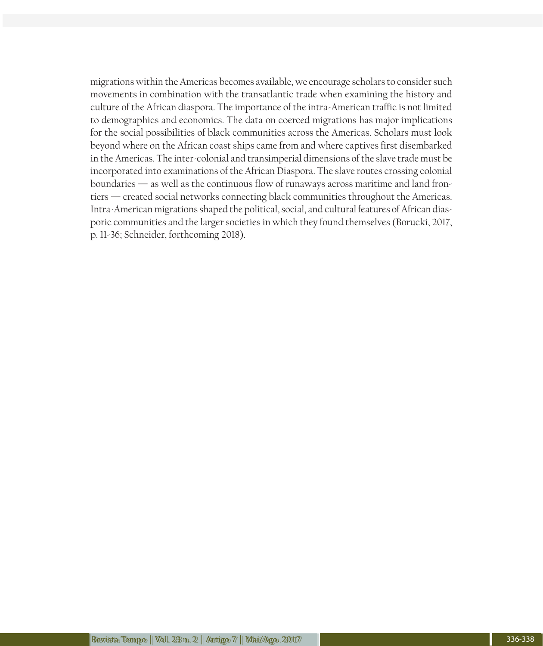migrations within the Americas becomes available, we encourage scholars to consider such movements in combination with the transatlantic trade when examining the history and culture of the African diaspora. The importance of the intra-American traffic is not limited to demographics and economics. The data on coerced migrations has major implications for the social possibilities of black communities across the Americas. Scholars must look beyond where on the African coast ships came from and where captives first disembarked in the Americas. The inter-colonial and transimperial dimensions of the slave trade must be incorporated into examinations of the African Diaspora. The slave routes crossing colonial boundaries — as well as the continuous flow of runaways across maritime and land frontiers — created social networks connecting black communities throughout the Americas. Intra-American migrations shaped the political, social, and cultural features of African diasporic communities and the larger societies in which they found themselves (Borucki, 2017, p. 11-36; Schneider, forthcoming 2018).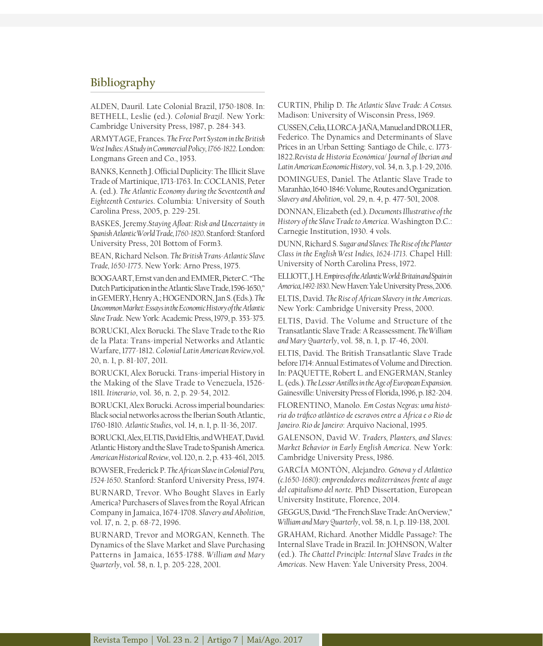## **Bibliography**

ALDEN, Dauril. Late Colonial Brazil, 1750-1808. In: BETHELL, Leslie (ed.). *Colonial Brazil*. New York: Cambridge University Press, 1987, p. 284-343.

ARMYTAGE, Frances. *The Free Port System in the British West Indies: A Study in Commercial Policy, 1766-1822*. London: Longmans Green and Co., 1953.

BANKS, Kenneth J. Official Duplicity: The Illicit Slave Trade of Martinique, 1713-1763. In: COCLANIS, Peter A. (ed.). *The Atlantic Economy during the Seventeenth and Eighteenth Centuries*. Columbia: University of South Carolina Press, 2005, p. 229-251.

BASKES, Jeremy.*Staying Afloat: Risk and Uncertainty in Spanish Atlantic World Trade, 1760-1820*. Stanford: Stanford University Press, 201 Bottom of Form3.

BEAN, Richard Nelson. *The British Trans-Atlantic Slave Trade, 1650-1775*. New York: Arno Press, 1975.

BOOGAART, Ernst van den and EMMER, Pieter C. "The Dutch Participation in the Atlantic Slave Trade, 1596-1650," in GEMERY, Henry A.; HOGENDORN, Jan S. (Eds.). *The Uncommon Market: Essays in the Economic History of the Atlantic Slave Trade*. New York: Academic Press, 1979, p. 353-375.

BORUCKI, Alex Borucki. The Slave Trade to the Río de la Plata: Trans-imperial Networks and Atlantic Warfare, 1777-1812. *Colonial Latin American Review*,vol. 20, n. 1, p. 81-107, 2011.

BORUCKI, Alex Borucki. Trans-imperial History in the Making of the Slave Trade to Venezuela, 1526- 1811. *Itinerario*, vol. 36, n. 2, p. 29-54, 2012.

BORUCKI, Alex Borucki. Across imperial boundaries: Black social networks across the Iberian South Atlantic, 1760-1810. *Atlantic Studies*, vol. 14, n. 1, p. 11-36, 2017.

BORUCKI, Alex, ELTIS, David Eltis, and WHEAT, David. Atlantic History and the Slave Trade to Spanish America. *American Historical Review*, vol. 120, n. 2, p. 433-461, 2015.

BOWSER, Frederick P. *The African Slave in Colonial Peru, 1524-1650*. Stanford: Stanford University Press, 1974.

BURNARD, Trevor. Who Bought Slaves in Early America? Purchasers of Slaves from the Royal African Company in Jamaica, 1674-1708. *Slavery and Abolition*, vol. 17, n. 2, p. 68-72, 1996.

BURNARD, Trevor and MORGAN, Kenneth. The Dynamics of the Slave Market and Slave Purchasing Patterns in Jamaica, 1655-1788. *William and Mary Quarterly*, vol. 58, n. 1, p. 205-228, 2001.

CURTIN, Philip D. *The Atlantic Slave Trade: A Census.*  Madison: University of Wisconsin Press, 1969.

CUSSEN, Celia, LLORCA-JAÑA, Manuel and DROLLER, Federico. The Dynamics and Determinants of Slave Prices in an Urban Setting: Santiago de Chile, c. 1773- 1822.*Revista de Historia Económica/ Journal of Iberian and Latin American Economic History*, vol. 34, n. 3, p. 1-29, 2016.

DOMINGUES, Daniel. The Atlantic Slave Trade to Maranhão, 1640-1846: Volume, Routes and Organization. *Slavery and Abolition*, vol. 29, n. 4, p. 477-501, 2008.

DONNAN, Elizabeth (ed.). *Documents Illustrative of the History of the Slave Trade to America*. Washington D.C.: Carnegie Institution, 1930. 4 vols.

DUNN, Richard S. *Sugar and Slaves: The Rise of the Planter Class in the English West Indies, 1624-1713*. Chapel Hill: University of North Carolina Press, 1972.

ELLIOTT, J. H. *Empires of the Atlantic World: Britain and Spain in America, 1492-1830*. New Haven: Yale University Press, 2006.

ELTIS, David. *The Rise of African Slavery in the Americas*. New York: Cambridge University Press, 2000.

ELTIS, David. The Volume and Structure of the Transatlantic Slave Trade: A Reassessment. *The William and Mary Quarterly*, vol. 58, n. 1, p. 17-46, 2001.

ELTIS, David. The British Transatlantic Slave Trade before 1714: Annual Estimates of Volume and Direction. In: PAQUETTE, Robert L. and ENGERMAN, Stanley L. (eds.). *The Lesser Antilles in the Age of European Expansion*. Gainesville: University Press of Florida, 1996, p. 182-204.

FLORENTINO, Manolo. *Em Costas Negras: uma história do tráfico atlântico de escravos entre a Africa e o Rio de Janeiro. Rio de Janeiro*: Arquivo Nacional, 1995.

GALENSON, David W. *Traders, Planters, and Slaves: Market Behavior in Early English America*. New York: Cambridge University Press, 1986.

GARCÍA MONTÓN, Alejandro. *Génova y el Atlántico (c.1650-1680): emprendedores mediterráneos frente al auge del capitalismo del norte*. PhD Dissertation, European University Institute, Florence, 2014.

GEGGUS, David. "The French Slave Trade: An Overview," *William and Mary Quarterly*, vol. 58, n. 1, p. 119-138, 2001.

GRAHAM, Richard. Another Middle Passage?: The Internal Slave Trade in Brazil. In: JOHNSON, Walter (ed.). *The Chattel Principle: Internal Slave Trades in the Americas*. New Haven: Yale University Press, 2004.